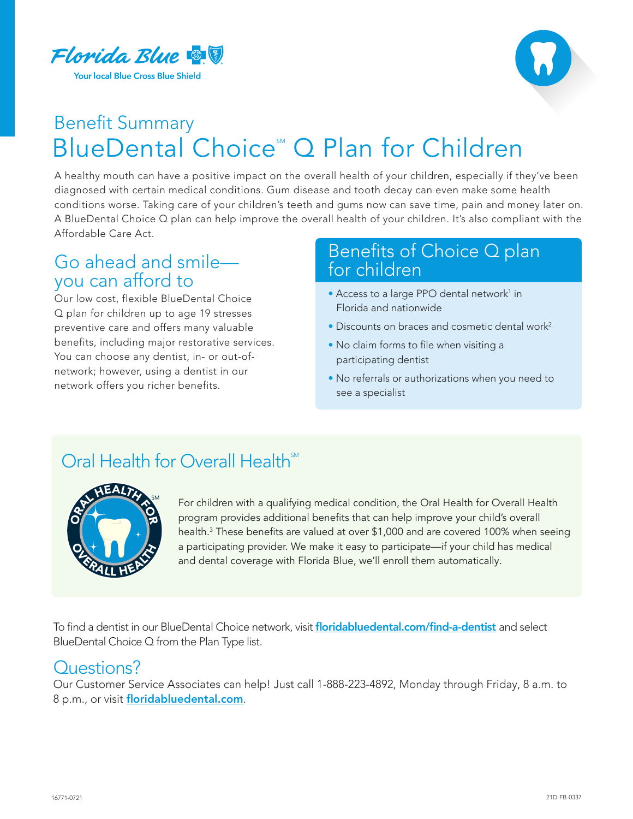



# Benefit Summary BlueDental Choice<sup>®</sup> Q Plan for Children

A healthy mouth can have a positive impact on the overall health of your children, especially if they've been diagnosed with certain medical conditions. Gum disease and tooth decay can even make some health conditions worse. Taking care of your children's teeth and gums now can save time, pain and money later on. A BlueDental Choice Q plan can help improve the overall health of your children. It's also compliant with the Affordable Care Act.

## Go ahead and smile you can afford to

Our low cost, flexible BlueDental Choice Q plan for children up to age 19 stresses preventive care and offers many valuable benefits, including major restorative services. You can choose any dentist, in- or out-ofnetwork; however, using a dentist in our network offers you richer benefits.

### Benefits of Choice Q plan for children

- Access to a large PPO dental network<sup>1</sup> in Florida and nationwide
- Discounts on braces and cosmetic dental work<sup>2</sup>
- No claim forms to file when visiting a participating dentist
- No referrals or authorizations when you need to see a specialist

## Oral Health for Overall Health<sup>SM</sup>



For children with a qualifying medical condition, the Oral Health for Overall Health program provides additional benefits that can help improve your child's overall health.3 These benefits are valued at over \$1,000 and are covered 100% when seeing a participating provider. We make it easy to participate—if your child has medical and dental coverage with Florida Blue, we'll enroll them automatically.

To find a dentist in our BlueDental Choice network, visit [floridabluedental.com/find-a-dentist](http://floridabluedental.com/find-a-dentist) and select BlueDental Choice Q from the Plan Type list.

## Questions?

Our Customer Service Associates can help! Just call 1-888-223-4892, Monday through Friday, 8 a.m. to 8 p.m., or visit [floridabluedental.com](http://floridabluedental.com).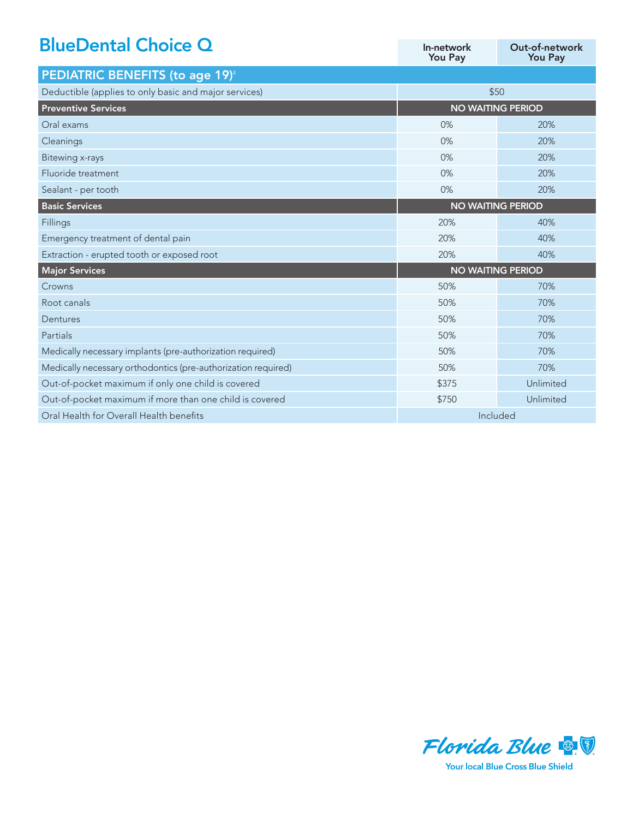| <b>BlueDental Choice Q</b>                                    | In-network<br>You Pay    | Out-of-network<br><b>You Pay</b> |
|---------------------------------------------------------------|--------------------------|----------------------------------|
| <b>PEDIATRIC BENEFITS (to age 19)4</b>                        |                          |                                  |
| Deductible (applies to only basic and major services)         | \$50                     |                                  |
| <b>Preventive Services</b>                                    | <b>NO WAITING PERIOD</b> |                                  |
| Oral exams                                                    | 0%                       | 20%                              |
| Cleanings                                                     | 0%                       | 20%                              |
| <b>Bitewing x-rays</b>                                        | 0%                       | 20%                              |
| Fluoride treatment                                            | 0%                       | 20%                              |
| Sealant - per tooth                                           | 0%                       | 20%                              |
| <b>Basic Services</b>                                         | <b>NO WAITING PERIOD</b> |                                  |
| Fillings                                                      | 20%                      | 40%                              |
| Emergency treatment of dental pain                            | 20%                      | 40%                              |
| Extraction - erupted tooth or exposed root                    | 20%                      | 40%                              |
| <b>Major Services</b>                                         | <b>NO WAITING PERIOD</b> |                                  |
| Crowns                                                        | 50%                      | 70%                              |
| Root canals                                                   | 50%                      | 70%                              |
| Dentures                                                      | 50%                      | 70%                              |
| Partials                                                      | 50%                      | 70%                              |
| Medically necessary implants (pre-authorization required)     | 50%                      | 70%                              |
| Medically necessary orthodontics (pre-authorization required) | 50%                      | 70%                              |
| Out-of-pocket maximum if only one child is covered            | \$375                    | Unlimited                        |
| Out-of-pocket maximum if more than one child is covered       | \$750                    | Unlimited                        |
| Oral Health for Overall Health benefits                       | Included                 |                                  |